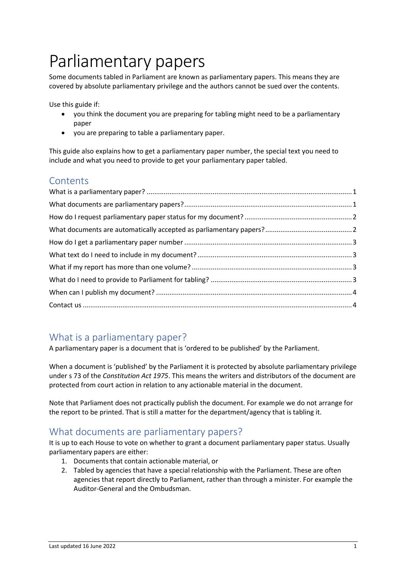# Parliamentary papers

Some documents tabled in Parliament are known as parliamentary papers. This means they are covered by absolute parliamentary privilege and the authors cannot be sued over the contents.

Use this guide if:

- you think the document you are preparing for tabling might need to be a parliamentary paper
- you are preparing to table a parliamentary paper.

This guide also explains how to get a parliamentary paper number, the special text you need to include and what you need to provide to get your parliamentary paper tabled.

#### **Contents**

### <span id="page-0-0"></span>What is a parliamentary paper?

A parliamentary paper is a document that is 'ordered to be published' by the Parliament.

When a document is 'published' by the Parliament it is protected by absolute parliamentary privilege under s 73 of the *Constitution Act 1975*. This means the writers and distributors of the document are protected from court action in relation to any actionable material in the document.

Note that Parliament does not practically publish the document. For example we do not arrange for the report to be printed. That is still a matter for the department/agency that is tabling it.

### <span id="page-0-1"></span>What documents are parliamentary papers?

It is up to each House to vote on whether to grant a document parliamentary paper status. Usually parliamentary papers are either:

- 1. Documents that contain actionable material, or
- 2. Tabled by agencies that have a special relationship with the Parliament. These are often agencies that report directly to Parliament, rather than through a minister. For example the Auditor-General and the Ombudsman.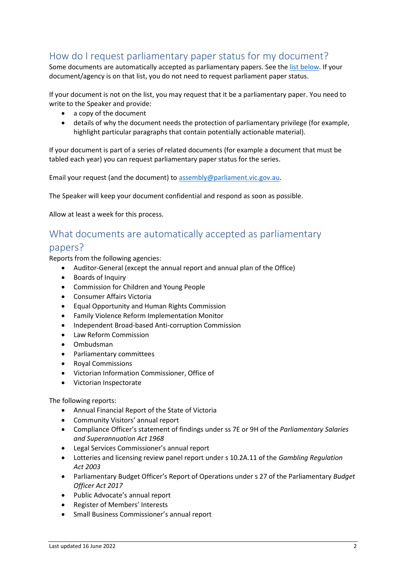### <span id="page-1-0"></span>How do I request parliamentary paper status for my document?

Some documents are automatically accepted as parliamentary papers. See the [list below.](#page-1-1) If your document/agency is on that list, you do not need to request parliament paper status.

If your document is not on the list, you may request that it be a parliamentary paper. You need to write to the Speaker and provide:

- a copy of the document
- details of why the document needs the protection of parliamentary privilege (for example, highlight particular paragraphs that contain potentially actionable material).

If your document is part of a series of related documents (for example a document that must be tabled each year) you can request parliamentary paper status for the series.

Email your request (and the document) to [assembly@parliament.vic.gov.au.](mailto:assembly@parliament.vic.gov.au)

The Speaker will keep your document confidential and respond as soon as possible.

<span id="page-1-1"></span>Allow at least a week for this process.

## What documents are automatically accepted as parliamentary

#### papers?

Reports from the following agencies:

- Auditor-General (except the annual report and annual plan of the Office)
- Boards of Inquiry
- Commission for Children and Young People
- Consumer Affairs Victoria
- Equal Opportunity and Human Rights Commission
- Family Violence Reform Implementation Monitor
- Independent Broad-based Anti-corruption Commission
- Law Reform Commission
- Ombudsman
- Parliamentary committees
- Royal Commissions
- Victorian Information Commissioner, Office of
- Victorian Inspectorate

The following reports:

- Annual Financial Report of the State of Victoria
- Community Visitors' annual report
- Compliance Officer's statement of findings under ss 7E or 9H of the *Parliamentary Salaries and Superannuation Act 1968*
- Legal Services Commissioner's annual report
- Lotteries and licensing review panel report under s 10.2A.11 of the *Gambling Regulation Act 2003*
- Parliamentary Budget Officer's Report of Operations under s 27 of the Parliamentary *Budget Officer Act 2017*
- Public Advocate's annual report
- Register of Members' Interests
- Small Business Commissioner's annual report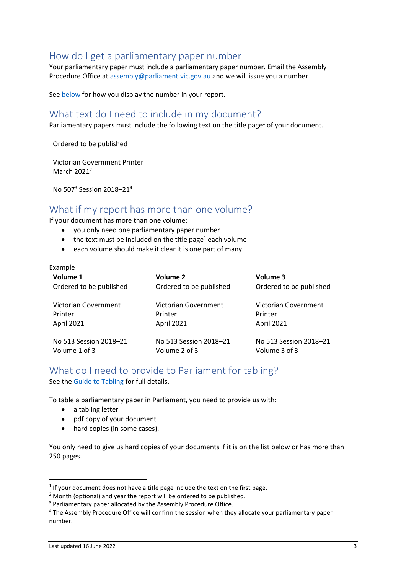#### <span id="page-2-0"></span>How do I get a parliamentary paper number

Your parliamentary paper must include a parliamentary paper number. Email the Assembly Procedure Office at [assembly@parliament.vic.gov.au](mailto:asssembly@parliament.vic.gov.au) and we will issue you a number.

<span id="page-2-1"></span>Se[e below](#page-2-1) for how you display the number in your report.

#### What text do I need to include in my document?

Parliamentary papers must include the following text on the title page<sup>1</sup> of your document.

Ordered to be published

Victorian Government Printer March 2021<sup>2</sup>

No 507<sup>3</sup> Session 2018-21<sup>4</sup>

#### <span id="page-2-2"></span>What if my report has more than one volume?

If your document has more than one volume:

- you only need one parliamentary paper number
- the text must be included on the title page<sup>1</sup> each volume
- each volume should make it clear it is one part of many.

#### **Example**

| Volume 1                | <b>Volume 2</b>         | Volume 3                |
|-------------------------|-------------------------|-------------------------|
| Ordered to be published | Ordered to be published | Ordered to be published |
|                         |                         |                         |
| Victorian Government    | Victorian Government    | Victorian Government    |
| Printer                 | Printer                 | Printer                 |
| April 2021              | April 2021              | April 2021              |
|                         |                         |                         |
| No 513 Session 2018-21  | No 513 Session 2018-21  | No 513 Session 2018-21  |
| Volume 1 of 3           | Volume 2 of 3           | Volume 3 of 3           |

# <span id="page-2-3"></span>What do I need to provide to Parliament for tabling?

See the [Guide to Tabling](https://new.parliament.vic.gov.au/globalassets/sections-shared/parliamentary-activity/guides-for-departments/guide-to-tabling.pdf) for full details.

To table a parliamentary paper in Parliament, you need to provide us with:

- a tabling letter
- pdf copy of your document
- hard copies (in some cases).

You only need to give us hard copies of your documents if it is on the list below or has more than 250 pages.

 $<sup>1</sup>$  If your document does not have a title page include the text on the first page.</sup>

 $2$  Month (optional) and year the report will be ordered to be published.

<sup>&</sup>lt;sup>3</sup> Parliamentary paper allocated by the Assembly Procedure Office.

<sup>4</sup> The Assembly Procedure Office will confirm the session when they allocate your parliamentary paper number.